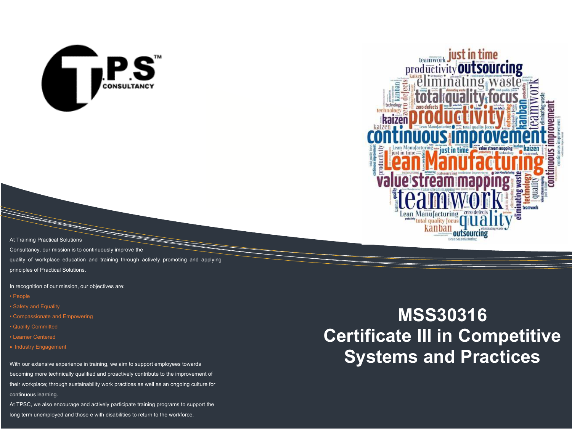



At Training Practical Solutions

Consultancy, our mission is to continuously improve the

quality of workplace education and training through actively promoting and applying principles of Practical Solutions.

- In recognition of our mission, our objectives are:
- People
- Safety and Equality
- Compassionate and Empowering
- Quality Committed
- Learner Centered
- Industry Engagement

With our extensive experience in training, we aim to support employees towards becoming more technically qualified and proactively contribute to the improvement of their workplace; through sustainability work practices as well as an ongoing culture for continuous learning.

At TPSC, we also encourage and actively participate training programs to support the long term unemployed and those e with disabilities to return to the workforce.

# **MSS30316 Certificate III in Competitive Systems and Practices**